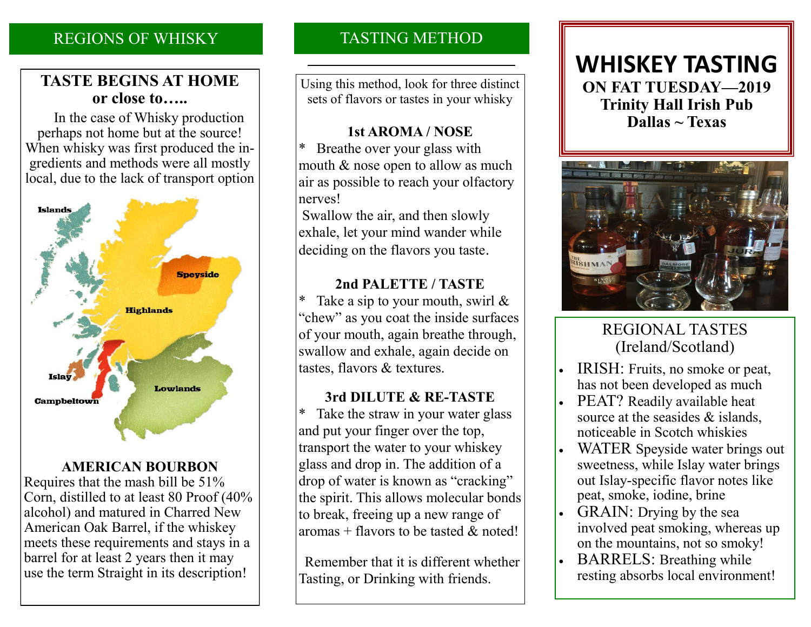## REGIONS OF WHISKY

## **TASTE BEGINS AT HOME or close to…..**

 In the case of Whisky production perhaps not home but at the source! When whisky was first produced the ingredients and methods were all mostly local, due to the lack of transport option



## **AMERICAN BOURBON**

Requires that the mash bill be 51% Corn, distilled to at least 80 Proof (40% alcohol) and matured in Charred New American Oak Barrel, if the whiskey meets these requirements and stays in a barrel for at least 2 years then it may use the term Straight in its description!

# TASTING METHOD

Using this method, look for three distinct sets of flavors or tastes in your whisky

## **1st AROMA / NOSE**

\* Breathe over your glass with mouth & nose open to allow as much air as possible to reach your olfactory nerves!

Swallow the air, and then slowly exhale, let your mind wander while deciding on the flavors you taste.

## **2nd PALETTE / TASTE**

Take a sip to your mouth, swirl  $\&$ "chew" as you coat the inside surfaces of your mouth, again breathe through, swallow and exhale, again decide on tastes, flavors & textures.

## **3rd DILUTE & RE-TASTE**

\* Take the straw in your water glass and put your finger over the top, transport the water to your whiskey glass and drop in. The addition of a drop of water is known as "cracking" the spirit. This allows molecular bonds to break, freeing up a new range of aromas + flavors to be tasted  $\&$  noted!

 Remember that it is different whether Tasting, or Drinking with friends.

# **WHISKEY TASTING ON FAT TUESDAY—2019 Trinity Hall Irish Pub Dallas ~ Texas**



# REGIONAL TASTES (Ireland/Scotland)

- IRISH: Fruits, no smoke or peat, has not been developed as much
- PEAT? Readily available heat source at the seasides & islands, noticeable in Scotch whiskies
- WATER Speyside water brings out sweetness, while Islay water brings out Islay-specific flavor notes like peat, smoke, iodine, brine
- GRAIN: Drying by the sea involved peat smoking, whereas up on the mountains, not so smoky!
- BARRELS: Breathing while resting absorbs local environment!